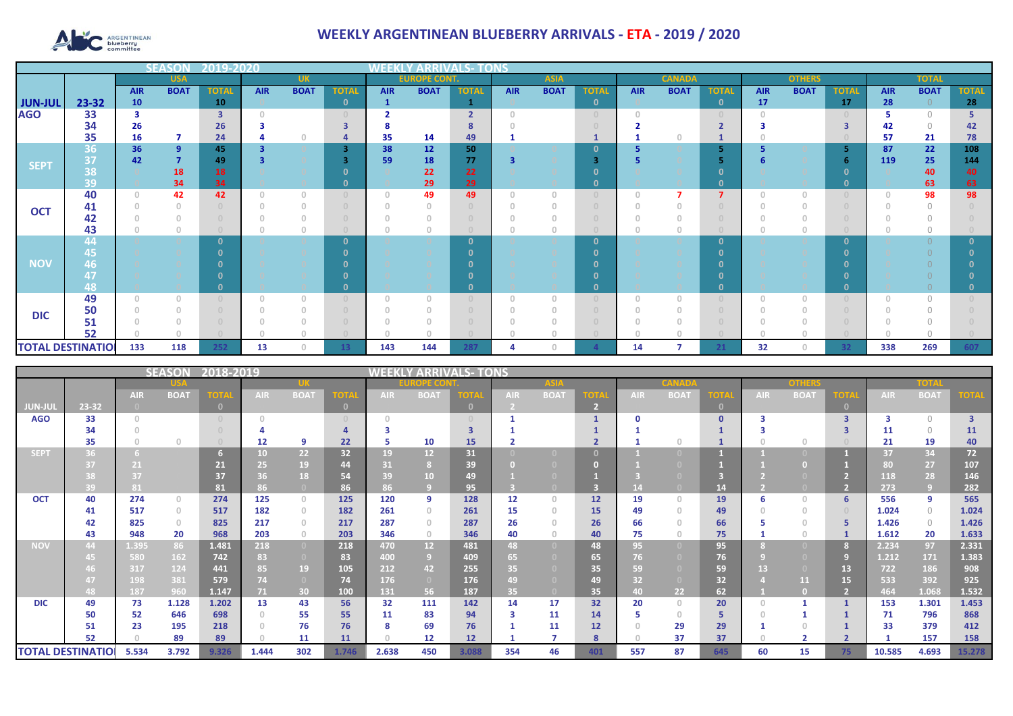

## **WEEKLY ARGENTINEAN BLUEBERRY ARRIVALS - ETA - 2019 / 2020**

|                          |           |            | <b>SFASO</b>   | 72019-202               |            |                                       |              |                                       |                     |              |            |             |                                       |            |               |                |            |               |              |            |              |              |
|--------------------------|-----------|------------|----------------|-------------------------|------------|---------------------------------------|--------------|---------------------------------------|---------------------|--------------|------------|-------------|---------------------------------------|------------|---------------|----------------|------------|---------------|--------------|------------|--------------|--------------|
|                          |           |            | <b>USA</b>     |                         |            | <b>UK</b>                             |              |                                       | <b>EUROPE CONT.</b> |              |            | <b>ASIA</b> |                                       |            | <b>CANADA</b> |                |            | <b>OTHERS</b> |              |            | <b>TOTAL</b> |              |
|                          |           | <b>AIR</b> | <b>BOAT</b>    | <b>TOTAL</b>            | <b>AIR</b> | <b>BOAT</b>                           | <b>TOTAL</b> | <b>AIR</b>                            | <b>BOAT</b>         | <b>TOTAL</b> | <b>AIR</b> | <b>BOAT</b> | <b>TOTAL</b>                          | <b>AIR</b> | <b>BOAT</b>   | <b>TOTAL</b>   | <b>AIR</b> | <b>BOAT</b>   | <b>TOTAL</b> | <b>AIR</b> | <b>BOAT</b>  | <b>TOTAL</b> |
| <b>JUN-JUL</b>           | $23 - 32$ | 10         |                | 10                      |            |                                       | $\mathbf{0}$ | $\mathbf{1}$                          |                     |              |            |             | $\mathbf{0}$                          |            |               | $\mathbf{0}$   | 17         |               | 17           | 28         | $\Omega$     | 28           |
| <b>AGO</b>               | 33        | з          |                | $\overline{\mathbf{3}}$ |            |                                       | $\Omega$     |                                       |                     | $\mathbf{r}$ |            |             | $\begin{array}{c} 0 \\ 0 \end{array}$ | $\cap$     |               |                |            |               |              |            | $\bigcap$    |              |
|                          | 34        | 26         |                | 26                      |            |                                       | 3            |                                       |                     |              |            |             |                                       |            |               |                |            |               |              | 42         | $\bigcirc$   | 42           |
|                          | 35        | 16         | 7              | 24                      |            |                                       |              | 35                                    | 14                  | 49           |            |             |                                       |            |               |                |            |               |              | 57         | 21           | 78           |
|                          | 36        | 36         | 9              | 45                      |            |                                       | 3            | 38                                    | 12                  | 50           |            |             | 0                                     |            |               | 5.             |            |               |              | 87         | 22           | 108          |
| <b>SEPT</b>              | 37        | 42         | $\overline{7}$ | 49                      |            |                                       |              | 59                                    | 18                  | 77           | 3          |             | 3                                     |            |               | 5              |            |               |              | 119        | 25           | 144          |
|                          | 38        |            | 18             | 18                      |            |                                       |              |                                       | 22                  | 22           |            |             |                                       |            |               | n              |            |               |              |            | 40           | 40           |
|                          | 39        |            | 34             | 34                      |            |                                       | $\mathbf{0}$ |                                       | 29                  | 29           |            |             | 0                                     |            |               | $\mathbf{0}$   |            |               | $\Omega$     |            | 63           | 63           |
| <b>OCT</b>               | 40        | $\Omega$   | 42             | 42                      |            | $\begin{array}{c} \n\end{array}$      | $\Omega$     | $\Omega$                              | 49                  | 49           | $\bigcap$  | $\cap$      | $\begin{array}{c} \n\end{array}$      |            |               | $\overline{7}$ |            | $\cap$        |              |            | 98           | 98           |
|                          | 41        |            |                |                         |            | $\Omega$                              | $\cup$       | $\cap$                                |                     |              |            |             |                                       |            |               |                |            |               |              |            | $\Omega$     |              |
|                          | 42        |            |                |                         |            |                                       |              |                                       |                     |              |            |             |                                       |            |               |                |            |               |              |            |              |              |
|                          | 43        |            | $\theta$       |                         |            | $\begin{array}{c} 0 \\ 0 \end{array}$ | $\Box$       |                                       |                     |              |            |             |                                       |            |               |                |            | $\circ$       |              |            | $\Omega$     |              |
|                          | 44        |            |                |                         |            |                                       | $\Omega$     |                                       |                     | $\Omega$     |            |             | $\Omega$                              |            |               | $\mathbf{0}$   |            |               | n            |            |              |              |
|                          | 45,       |            |                |                         |            |                                       |              |                                       |                     |              |            |             | n                                     |            |               | $\Omega$       |            |               | n            |            |              |              |
| <b>NOV</b>               | 46        |            |                |                         |            |                                       |              |                                       |                     |              |            |             |                                       |            |               |                |            |               |              |            |              |              |
|                          | 47        |            |                |                         |            |                                       |              |                                       |                     |              |            |             |                                       |            |               |                |            |               |              |            |              |              |
|                          | 48        |            |                |                         |            |                                       |              |                                       |                     |              |            |             | 0                                     |            |               | $\mathbf{0}$   |            |               |              |            |              |              |
|                          | 49        | $\Omega$   | $\Box$         |                         |            | $\begin{array}{c} 0 \\ 0 \end{array}$ | $\cup$       | $\begin{array}{c} 0 \\ 0 \end{array}$ | $\cap$              |              | $\Omega$   |             | $\begin{array}{c} \n\end{array}$      | $\Omega$   |               |                |            | $\Omega$      |              |            |              |              |
| <b>DIC</b>               | 50        |            |                |                         |            |                                       |              |                                       |                     |              |            |             |                                       |            |               |                |            |               |              |            |              |              |
|                          | 51        |            |                |                         |            |                                       |              |                                       |                     |              |            |             |                                       |            |               |                |            |               |              |            |              |              |
|                          | 52        |            |                |                         |            | $\cap$                                |              |                                       |                     |              |            |             |                                       |            |               |                |            |               |              |            |              |              |
| <b>TOTAL DESTINATIOL</b> |           | 133        | 118            | 252                     | 13         | $\Omega$                              | 13           | 143                                   | 144                 | 287          |            |             |                                       | 14         |               | 21             | 32         | $\cap$        | 32           | 338        | 269          | 607          |

| 2018-2019<br><b>SEASON</b> |       |                 |             |             |                 |                                  |          |               | TONS            |          |            |             |     |      |             |                |            |             |             |        |             |                         |
|----------------------------|-------|-----------------|-------------|-------------|-----------------|----------------------------------|----------|---------------|-----------------|----------|------------|-------------|-----|------|-------------|----------------|------------|-------------|-------------|--------|-------------|-------------------------|
|                            |       |                 |             |             |                 |                                  |          | <b>OPE CO</b> |                 |          | <b>ASM</b> |             |     | CANA |             |                | onher      |             |             | пон    |             |                         |
|                            |       | <b>AIR</b>      | <b>BOAT</b> | <b>TOTA</b> | <b>AIR</b>      | <b>BOAT</b>                      | ОП       | <b>AIR</b>    | <b>BOAT</b>     | OTA      | <b>AIR</b> | <b>BOAT</b> | 'nт | AIR  | <b>BOAT</b> | <b>TOTA</b>    | <b>AIR</b> | <b>BOAT</b> | <b>TOTA</b> | AIR.   | <b>BOAT</b> | ГОТА                    |
| JUN-JUI                    | 23-32 |                 |             | $\Box$      |                 |                                  | $\Omega$ |               |                 | $\Omega$ |            |             |     |      |             | $\overline{0}$ |            |             |             |        |             |                         |
| <b>AGO</b>                 | 33    | $\bigcap$       |             |             |                 |                                  |          | $\cap$        |                 |          |            |             |     |      |             | $\mathbf{0}$   |            |             |             |        | $\Omega$    | $\overline{\mathbf{3}}$ |
|                            | 34    |                 |             |             |                 |                                  |          |               |                 |          |            |             |     |      |             |                |            |             |             | 11     | $\Omega$    | <b>11</b>               |
|                            | 35    |                 | $\Omega$    |             | 12              | q                                | 22       | 5             | 10              | 15       |            |             |     |      |             |                |            | $\Omega$    |             | 21     | 19          | 40                      |
| SEPT                       | 36.   |                 |             |             | 10 <sub>1</sub> | 22 <sub>2</sub>                  | 32       | 19            | 12 <sup>2</sup> | 31       |            |             |     |      |             |                |            |             |             | 37     | 34          | 72                      |
|                            | 37    | 21              |             | 21          | 25              | 19                               | 44       | 31            |                 | 39       |            |             |     |      |             |                |            |             |             | 80     | 27          | 107                     |
|                            |       | 37              |             | 37          | 36              | 18                               | 54       | 39            | 10 <sup>°</sup> | 49       |            |             |     |      |             |                |            |             |             | 118    | 28          | 146                     |
|                            | 39    | 81 <sub>1</sub> |             | 81          | 86              | $\Box$                           | 86       | 86            |                 | 95       |            |             |     |      |             | 14             |            |             |             | 273    | 9           | 282                     |
| <b>OCT</b>                 | 40    | 274             | $\circ$     | 274         | 125             | $\circ$                          | 125      | 120           | 9               | 128      | 12         | $\Omega$    | 12  | 19   | $\cap$      | 19             | 6          | $\Omega$    |             | 556    | 9           | 565                     |
|                            | 41    | 517             | $\circ$     | 517         | 182             | $\circ$                          | 182      | 261           | $\circ$         | 261      | 15         | $\Omega$    | 15  | 49   | $\cap$      | 49             |            | $\Omega$    |             | 1.024  | $\circ$     | 1.024                   |
|                            | 42    | 825             | $\circ$     | 825         | 217             | $\begin{array}{c} 0 \end{array}$ | 217      | 287           | $\Omega$        | 287      | 26         |             | 26  | 66   |             | 66             |            |             |             | 1.426  | $\circ$     | 1.426                   |
|                            | 43    | 948             | 20          | 968         | 203             | $\circ$                          | 203      | 346           | $\circ$         | 346      | 40         | $\Omega$    | 40  | 75   |             | 75             |            | $\Omega$    |             | 1.612  | 20          | 1.633                   |
| <b>NOV</b>                 | 44    | 1.395           | 86          | 1.481       | 218             | $\overline{0}$                   | 218      | 470           | 12 <sup>2</sup> | 481      | 48         | $\Box$      | 48  | 95   |             | 95             |            |             |             | 2.234  | 97          | 2.331                   |
|                            |       | 580             | 162         | 742         | 83              | $\overline{0}$                   | 83       | 400           | -9              | 409      | 65         |             | 65  | 76   |             | 76             |            |             | 9           | 1.212  | 171         | 1.383                   |
|                            |       | 317             | 124         | 441         | 85.             | 19                               | 105      | 212           | 42              | 255      | 35         |             | 35  | 59   |             | 59             | 13         |             | 13          | 722    | 186         | 908                     |
|                            |       | 198             | 381         | 579         | 74              | $\overline{0}$                   | 74       | 176           | $\overline{0}$  | 176      | 49         |             | 49  | 32   |             | 32             |            | 11          | 15          | 533    | 392         | 925                     |
|                            | 48    | 187             | 960         | 1.147       | 71.             | 30                               | 100      | 131           | 56              | 187      | 35         | $\Box$      | 35  | 40   | 22          | 62             |            |             |             | 464    | 1.068       | 1.532                   |
| <b>DIC</b>                 | 49    | 73              | 1.128       | 1.202       | 13              | 43                               | 56       | 32            | 111             | 142      | 14         | 17          | 32  | 20   | $\Omega$    | 20             | $\Omega$   |             |             | 153    | 1.301       | 1.453                   |
|                            | 50    | 52              | 646         | 698         | 0               | 55                               | 55       | 11            | 83              | 94       | 3          | 11          | 14  |      | 0           | 5              |            |             |             | 71     | 796         | 868                     |
|                            | 51    | 23              | 195         | 218         |                 | 76                               | 76       | 8             | 69              | 76       |            | 11          | 12  |      | 29          | 29             |            |             |             | 33     | 379         | 412                     |
|                            | 52    |                 | 89          | 89          |                 | 11                               | 11       | $\cap$        | 12              | 12       |            |             | 8   |      | 37          | 37             |            |             |             |        | 157         | 158                     |
| <b>TOTAL DESTINATIOI</b>   |       | 5.534           | 3.792       | 9.326       | 1.444           | 302                              | 1.746    | 2.638         | 450             | 3.088    | 354        | 46          | 401 | 557  | 87          | 645            | 60         | 15          | 75          | 10.585 | 4.693       | 15.278                  |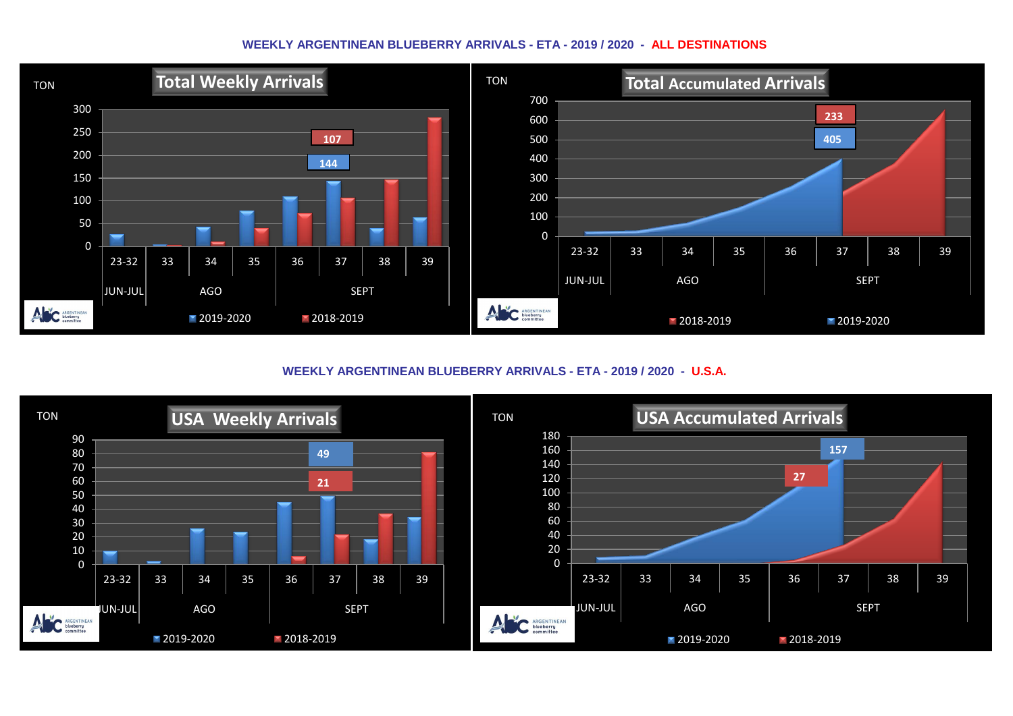## **WEEKLY ARGENTINEAN BLUEBERRY ARRIVALS - ETA - 2019 / 2020 - ALL DESTINATIONS**



**WEEKLY ARGENTINEAN BLUEBERRY ARRIVALS - ETA - 2019 / 2020 - U.S.A.**

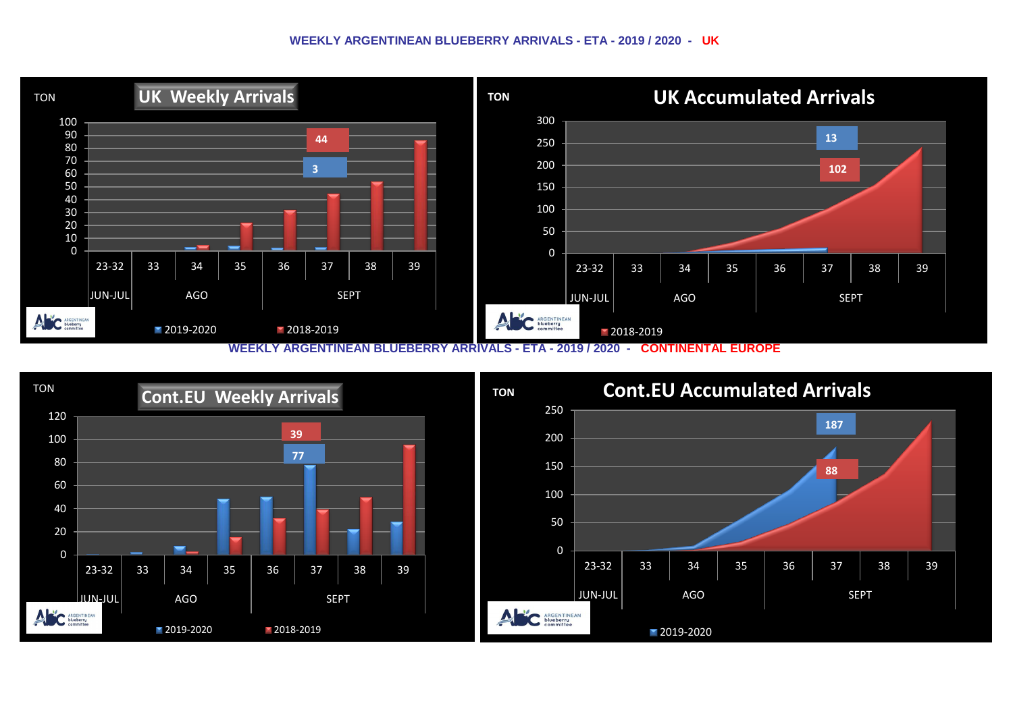## **WEEKLY ARGENTINEAN BLUEBERRY ARRIVALS - ETA - 2019 / 2020 - UK**